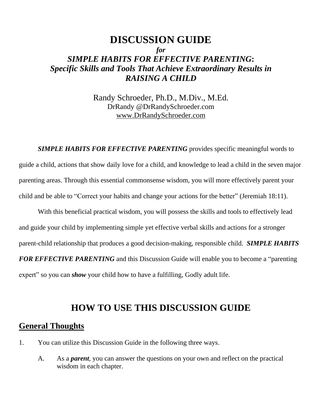## **DISCUSSION GUIDE** *for SIMPLE HABITS FOR EFFECTIVE PARENTING***:** *Specific Skills and Tools That Achieve Extraordinary Results in RAISING A CHILD*

Randy Schroeder, Ph.D., M.Div., M.Ed. DrRandy @DrRandySchroeder.com [www.DrRandySchroeder.com](http://www.drrandyschroeder.com/)

*SIMPLE HABITS FOR EFFECTIVE PARENTING* provides specific meaningful words to guide a child, actions that show daily love for a child, and knowledge to lead a child in the seven major parenting areas. Through this essential commonsense wisdom, you will more effectively parent your child and be able to "Correct your habits and change your actions for the better" (Jeremiah 18:11).

With this beneficial practical wisdom, you will possess the skills and tools to effectively lead and guide your child by implementing simple yet effective verbal skills and actions for a stronger parent-child relationship that produces a good decision-making, responsible child. *SIMPLE HABITS FOR EFFECTIVE PARENTING* and this Discussion Guide will enable you to become a "parenting expert" so you can *show* your child how to have a fulfilling, Godly adult life.

## **HOW TO USE THIS DISCUSSION GUIDE**

## **General Thoughts**

- 1. You can utilize this Discussion Guide in the following three ways.
	- A. As a *parent*, you can answer the questions on your own and reflect on the practical wisdom in each chapter.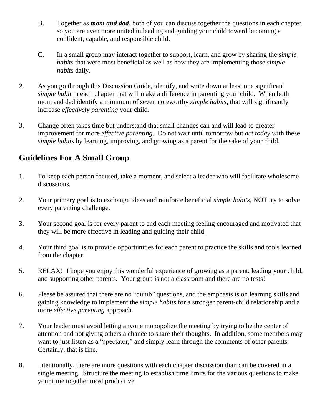- B. Together as *mom and dad*, both of you can discuss together the questions in each chapter so you are even more united in leading and guiding your child toward becoming a confident, capable, and responsible child.
- C. In a small group may interact together to support, learn, and grow by sharing the *simple habits* that were most beneficial as well as how they are implementing those *simple habits* daily.
- 2. As you go through this Discussion Guide, identify, and write down at least one significant *simple habit* in each chapter that will make a difference in parenting your child. When both mom and dad identify a minimum of seven noteworthy *simple habits*, that will significantly increase *effectively parenting* your child.
- 3. Change often takes time but understand that small changes can and will lead to greater improvement for more *effective parenting*. Do not wait until tomorrow but *act today* with these *simple habits* by learning, improving, and growing as a parent for the sake of your child.

## **Guidelines For A Small Group**

- 1. To keep each person focused, take a moment, and select a leader who will facilitate wholesome discussions.
- 2. Your primary goal is to exchange ideas and reinforce beneficial *simple habits*, NOT try to solve every parenting challenge.
- 3. Your second goal is for every parent to end each meeting feeling encouraged and motivated that they will be more effective in leading and guiding their child.
- 4. Your third goal is to provide opportunities for each parent to practice the skills and tools learned from the chapter.
- 5. RELAX! I hope you enjoy this wonderful experience of growing as a parent, leading your child, and supporting other parents. Your group is not a classroom and there are no tests!
- 6. Please be assured that there are no "dumb" questions, and the emphasis is on learning skills and gaining knowledge to implement the *simple habits* for a stronger parent-child relationship and a more *effective parenting* approach.
- 7. Your leader must avoid letting anyone monopolize the meeting by trying to be the center of attention and not giving others a chance to share their thoughts. In addition, some members may want to just listen as a "spectator," and simply learn through the comments of other parents. Certainly, that is fine.
- 8. Intentionally, there are more questions with each chapter discussion than can be covered in a single meeting. Structure the meeting to establish time limits for the various questions to make your time together most productive.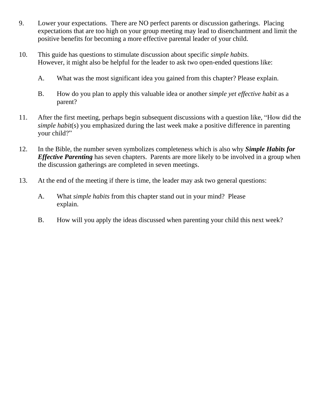- 9. Lower your expectations. There are NO perfect parents or discussion gatherings. Placing expectations that are too high on your group meeting may lead to disenchantment and limit the positive benefits for becoming a more effective parental leader of your child.
- 10. This guide has questions to stimulate discussion about specific *simple habits*. However, it might also be helpful for the leader to ask two open-ended questions like:
	- A. What was the most significant idea you gained from this chapter? Please explain.
	- B. How do you plan to apply this valuable idea or another *simple yet effective habit* as a parent?
- 11. After the first meeting, perhaps begin subsequent discussions with a question like, "How did the *simple habit*(s) you emphasized during the last week make a positive difference in parenting your child?"
- 12. In the Bible, the number seven symbolizes completeness which is also why *Simple Habits for Effective Parenting* has seven chapters. Parents are more likely to be involved in a group when the discussion gatherings are completed in seven meetings.
- 13. At the end of the meeting if there is time, the leader may ask two general questions:
	- A. What *simple habits* from this chapter stand out in your mind? Please explain.
	- B. How will you apply the ideas discussed when parenting your child this next week?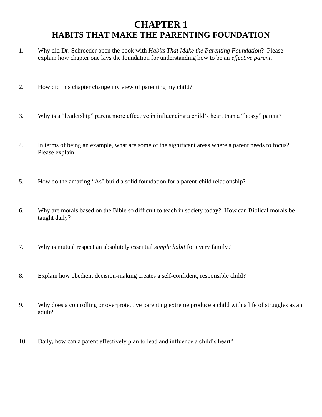# **CHAPTER 1 HABITS THAT MAKE THE PARENTING FOUNDATION**

- 1. Why did Dr. Schroeder open the book with *Habits That Make the Parenting Foundation*? Please explain how chapter one lays the foundation for understanding how to be an *effective parent*.
- 2. How did this chapter change my view of parenting my child?
- 3. Why is a "leadership" parent more effective in influencing a child's heart than a "bossy" parent?
- 4. In terms of being an example, what are some of the significant areas where a parent needs to focus? Please explain.
- 5. How do the amazing "As" build a solid foundation for a parent-child relationship?
- 6. Why are morals based on the Bible so difficult to teach in society today? How can Biblical morals be taught daily?
- 7. Why is mutual respect an absolutely essential *simple habit* for every family?
- 8. Explain how obedient decision-making creates a self-confident, responsible child?
- 9. Why does a controlling or overprotective parenting extreme produce a child with a life of struggles as an adult?
- 10. Daily, how can a parent effectively plan to lead and influence a child's heart?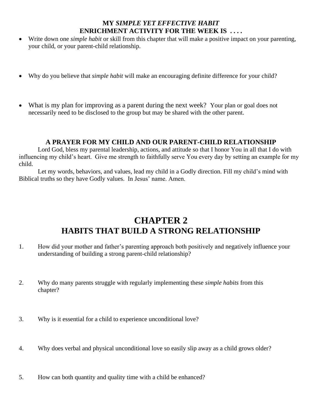- Write down one *simple habit* or skill from this chapter that will make a positive impact on your parenting, your child, or your parent-child relationship.
- Why do you believe that *simple habit* will make an encouraging definite difference for your child?
- What is my plan for improving as a parent during the next week? Your plan or goal does not necessarily need to be disclosed to the group but may be shared with the other parent.

## **A PRAYER FOR MY CHILD AND OUR PARENT-CHILD RELATIONSHIP**

Lord God, bless my parental leadership, actions, and attitude so that I honor You in all that I do with influencing my child's heart. Give me strength to faithfully serve You every day by setting an example for my child.

Let my words, behaviors, and values, lead my child in a Godly direction. Fill my child's mind with Biblical truths so they have Godly values. In Jesus' name. Amen.

## **CHAPTER 2 HABITS THAT BUILD A STRONG RELATIONSHIP**

- 1. How did your mother and father's parenting approach both positively and negatively influence your understanding of building a strong parent-child relationship?
- 2. Why do many parents struggle with regularly implementing these *simple habits* from this chapter?
- 3. Why is it essential for a child to experience unconditional love?
- 4. Why does verbal and physical unconditional love so easily slip away as a child grows older?
- 5. How can both quantity and quality time with a child be enhanced?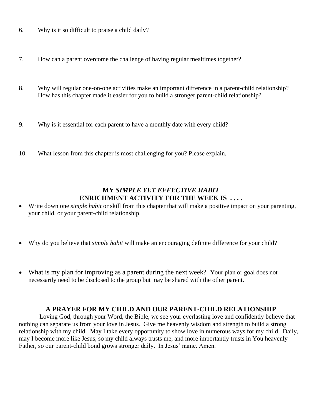- 6. Why is it so difficult to praise a child daily?
- 7. How can a parent overcome the challenge of having regular mealtimes together?
- 8. Why will regular one-on-one activities make an important difference in a parent-child relationship? How has this chapter made it easier for you to build a stronger parent-child relationship?
- 9. Why is it essential for each parent to have a monthly date with every child?
- 10. What lesson from this chapter is most challenging for you? Please explain.

- Write down one *simple habit* or skill from this chapter that will make a positive impact on your parenting, your child, or your parent-child relationship.
- Why do you believe that *simple habit* will make an encouraging definite difference for your child?
- What is my plan for improving as a parent during the next week? Your plan or goal does not necessarily need to be disclosed to the group but may be shared with the other parent.

## **A PRAYER FOR MY CHILD AND OUR PARENT-CHILD RELATIONSHIP**

Loving God, through your Word, the Bible, we see your everlasting love and confidently believe that nothing can separate us from your love in Jesus. Give me heavenly wisdom and strength to build a strong relationship with my child. May I take every opportunity to show love in numerous ways for my child. Daily, may I become more like Jesus, so my child always trusts me, and more importantly trusts in You heavenly Father, so our parent-child bond grows stronger daily. In Jesus' name. Amen.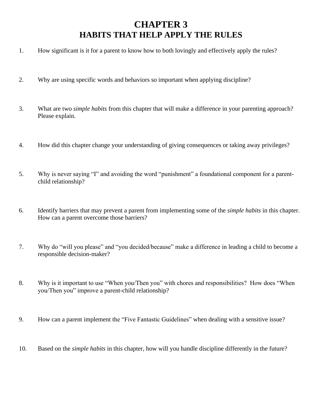# **CHAPTER 3 HABITS THAT HELP APPLY THE RULES**

- 1. How significant is it for a parent to know how to both lovingly and effectively apply the rules?
- 2. Why are using specific words and behaviors so important when applying discipline?
- 3. What are two *simple habits* from this chapter that will make a difference in your parenting approach? Please explain.
- 4. How did this chapter change your understanding of giving consequences or taking away privileges?
- 5. Why is never saying "I" and avoiding the word "punishment" a foundational component for a parentchild relationship?
- 6. Identify barriers that may prevent a parent from implementing some of the *simple habits* in this chapter. How can a parent overcome those barriers?
- 7. Why do "will you please" and "you decided/because" make a difference in leading a child to become a responsible decision-maker?
- 8. Why is it important to use "When you/Then you" with chores and responsibilities? How does "When you/Then you" improve a parent-child relationship?
- 9. How can a parent implement the "Five Fantastic Guidelines" when dealing with a sensitive issue?
- 10. Based on the *simple habits* in this chapter, how will you handle discipline differently in the future?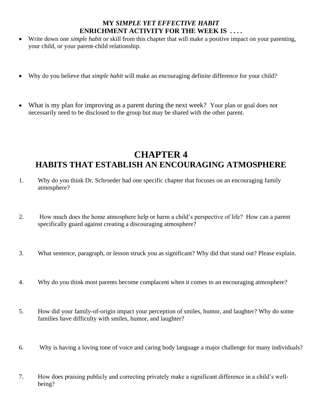- Write down one *simple habit* or skill from this chapter that will make a positive impact on your parenting, your child, or your parent-child relationship.
- Why do you believe that *simple habit* will make an encouraging definite difference for your child?
- What is my plan for improving as a parent during the next week? Your plan or goal does not necessarily need to be disclosed to the group but may be shared with the other parent.

# **CHAPTER 4 HABITS THAT ESTABLISH AN ENCOURAGING ATMOSPHERE**

- 1. Why do you think Dr. Schroeder had one specific chapter that focuses on an encouraging family atmosphere?
- 2. How much does the home atmosphere help or harm a child's perspective of life? How can a parent specifically guard against creating a discouraging atmosphere?
- 3. What sentence, paragraph, or lesson struck you as significant? Why did that stand out? Please explain.
- 4. Why do you think most parents become complacent when it comes to an encouraging atmosphere?
- 5. How did your family-of-origin impact your perception of smiles, humor, and laughter? Why do some families have difficulty with smiles, humor, and laughter?
- 6. Why is having a loving tone of voice and caring body language a major challenge for many individuals?

7. How does praising publicly and correcting privately make a significant difference in a child's wellbeing?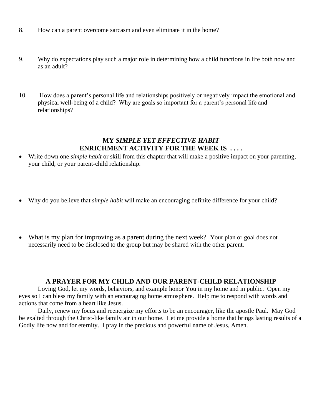- 8. How can a parent overcome sarcasm and even eliminate it in the home?
- 9. Why do expectations play such a major role in determining how a child functions in life both now and as an adult?
- 10. How does a parent's personal life and relationships positively or negatively impact the emotional and physical well-being of a child? Why are goals so important for a parent's personal life and relationships?

- Write down one *simple habit* or skill from this chapter that will make a positive impact on your parenting, your child, or your parent-child relationship.
- Why do you believe that *simple habit* will make an encouraging definite difference for your child?
- What is my plan for improving as a parent during the next week? Your plan or goal does not necessarily need to be disclosed to the group but may be shared with the other parent.

#### **A PRAYER FOR MY CHILD AND OUR PARENT-CHILD RELATIONSHIP**

Loving God, let my words, behaviors, and example honor You in my home and in public. Open my eyes so I can bless my family with an encouraging home atmosphere. Help me to respond with words and actions that come from a heart like Jesus.

Daily, renew my focus and reenergize my efforts to be an encourager, like the apostle Paul. May God be exalted through the Christ-like family air in our home. Let me provide a home that brings lasting results of a Godly life now and for eternity. I pray in the precious and powerful name of Jesus, Amen.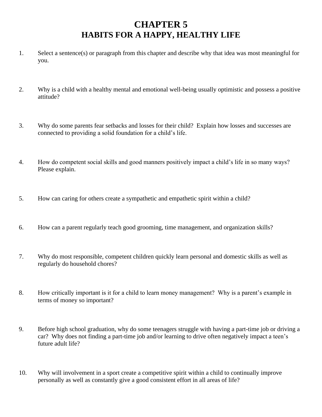# **CHAPTER 5 HABITS FOR A HAPPY, HEALTHY LIFE**

- 1. Select a sentence(s) or paragraph from this chapter and describe why that idea was most meaningful for you.
- 2. Why is a child with a healthy mental and emotional well-being usually optimistic and possess a positive attitude?
- 3. Why do some parents fear setbacks and losses for their child? Explain how losses and successes are connected to providing a solid foundation for a child's life.
- 4. How do competent social skills and good manners positively impact a child's life in so many ways? Please explain.
- 5. How can caring for others create a sympathetic and empathetic spirit within a child?
- 6. How can a parent regularly teach good grooming, time management, and organization skills?
- 7. Why do most responsible, competent children quickly learn personal and domestic skills as well as regularly do household chores?
- 8. How critically important is it for a child to learn money management? Why is a parent's example in terms of money so important?
- 9. Before high school graduation, why do some teenagers struggle with having a part-time job or driving a car? Why does not finding a part-time job and/or learning to drive often negatively impact a teen's future adult life?
- 10. Why will involvement in a sport create a competitive spirit within a child to continually improve personally as well as constantly give a good consistent effort in all areas of life?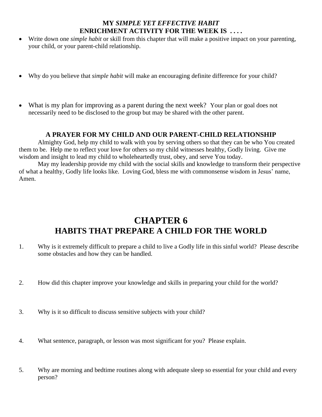- Write down one *simple habit* or skill from this chapter that will make a positive impact on your parenting, your child, or your parent-child relationship.
- Why do you believe that *simple habit* will make an encouraging definite difference for your child?
- What is my plan for improving as a parent during the next week? Your plan or goal does not necessarily need to be disclosed to the group but may be shared with the other parent.

## **A PRAYER FOR MY CHILD AND OUR PARENT-CHILD RELATIONSHIP**

Almighty God, help my child to walk with you by serving others so that they can be who You created them to be. Help me to reflect your love for others so my child witnesses healthy, Godly living. Give me wisdom and insight to lead my child to wholeheartedly trust, obey, and serve You today.

May my leadership provide my child with the social skills and knowledge to transform their perspective of what a healthy, Godly life looks like. Loving God, bless me with commonsense wisdom in Jesus' name, Amen.

## **CHAPTER 6 HABITS THAT PREPARE A CHILD FOR THE WORLD**

- 1. Why is it extremely difficult to prepare a child to live a Godly life in this sinful world? Please describe some obstacles and how they can be handled.
- 2. How did this chapter improve your knowledge and skills in preparing your child for the world?
- 3. Why is it so difficult to discuss sensitive subjects with your child?
- 4. What sentence, paragraph, or lesson was most significant for you? Please explain.
- 5. Why are morning and bedtime routines along with adequate sleep so essential for your child and every person?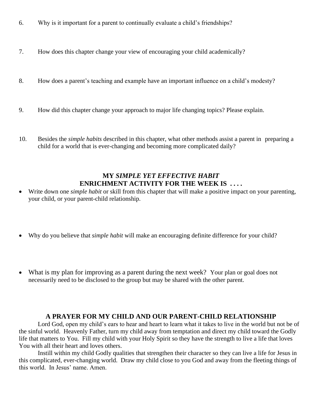- 6. Why is it important for a parent to continually evaluate a child's friendships?
- 7. How does this chapter change your view of encouraging your child academically?
- 8. How does a parent's teaching and example have an important influence on a child's modesty?
- 9. How did this chapter change your approach to major life changing topics? Please explain.
- 10. Besides the *simple habits* described in this chapter, what other methods assist a parent in preparing a child for a world that is ever-changing and becoming more complicated daily?

- Write down one *simple habit* or skill from this chapter that will make a positive impact on your parenting, your child, or your parent-child relationship.
- Why do you believe that *simple habit* will make an encouraging definite difference for your child?
- What is my plan for improving as a parent during the next week? Your plan or goal does not necessarily need to be disclosed to the group but may be shared with the other parent.

#### **A PRAYER FOR MY CHILD AND OUR PARENT-CHILD RELATIONSHIP**

Lord God, open my child's ears to hear and heart to learn what it takes to live in the world but not be of the sinful world. Heavenly Father, turn my child away from temptation and direct my child toward the Godly life that matters to You. Fill my child with your Holy Spirit so they have the strength to live a life that loves You with all their heart and loves others.

Instill within my child Godly qualities that strengthen their character so they can live a life for Jesus in this complicated, ever-changing world. Draw my child close to you God and away from the fleeting things of this world. In Jesus' name. Amen.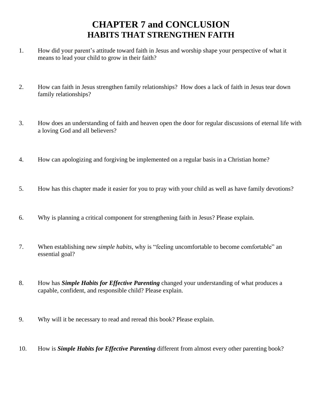# **CHAPTER 7 and CONCLUSION HABITS THAT STRENGTHEN FAITH**

- 1. How did your parent's attitude toward faith in Jesus and worship shape your perspective of what it means to lead your child to grow in their faith?
- 2. How can faith in Jesus strengthen family relationships? How does a lack of faith in Jesus tear down family relationships?
- 3. How does an understanding of faith and heaven open the door for regular discussions of eternal life with a loving God and all believers?
- 4. How can apologizing and forgiving be implemented on a regular basis in a Christian home?
- 5. How has this chapter made it easier for you to pray with your child as well as have family devotions?
- 6. Why is planning a critical component for strengthening faith in Jesus? Please explain.
- 7. When establishing new *simple habits*, why is "feeling uncomfortable to become comfortable" an essential goal?
- 8. How has *Simple Habits for Effective Parenting* changed your understanding of what produces a capable, confident, and responsible child? Please explain.
- 9. Why will it be necessary to read and reread this book? Please explain.
- 10. How is *Simple Habits for Effective Parenting* different from almost every other parenting book?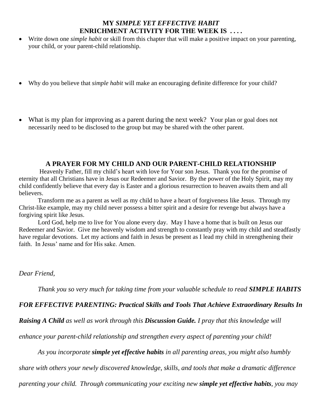- Write down one *simple habit* or skill from this chapter that will make a positive impact on your parenting, your child, or your parent-child relationship.
- Why do you believe that *simple habit* will make an encouraging definite difference for your child?
- What is my plan for improving as a parent during the next week? Your plan or goal does not necessarily need to be disclosed to the group but may be shared with the other parent.

#### **A PRAYER FOR MY CHILD AND OUR PARENT-CHILD RELATIONSHIP**

Heavenly Father, fill my child's heart with love for Your son Jesus. Thank you for the promise of eternity that all Christians have in Jesus our Redeemer and Savior. By the power of the Holy Spirit, may my child confidently believe that every day is Easter and a glorious resurrection to heaven awaits them and all believers.

Transform me as a parent as well as my child to have a heart of forgiveness like Jesus. Through my Christ-like example, may my child never possess a bitter spirit and a desire for revenge but always have a forgiving spirit like Jesus.

Lord God, help me to live for You alone every day. May I have a home that is built on Jesus our Redeemer and Savior. Give me heavenly wisdom and strength to constantly pray with my child and steadfastly have regular devotions. Let my actions and faith in Jesus be present as I lead my child in strengthening their faith. In Jesus' name and for His sake. Amen.

#### *Dear Friend,*

*Thank you so very much for taking time from your valuable schedule to read SIMPLE HABITS* 

## *FOR EFFECTIVE PARENTING: Practical Skills and Tools That Achieve Extraordinary Results In*

*Raising A Child as well as work through this Discussion Guide. I pray that this knowledge will* 

*enhance your parent-child relationship and strengthen every aspect of parenting your child!*

*As you incorporate simple yet effective habits in all parenting areas, you might also humbly* 

*share with others your newly discovered knowledge, skills, and tools that make a dramatic difference* 

*parenting your child. Through communicating your exciting new simple yet effective habits, you may*